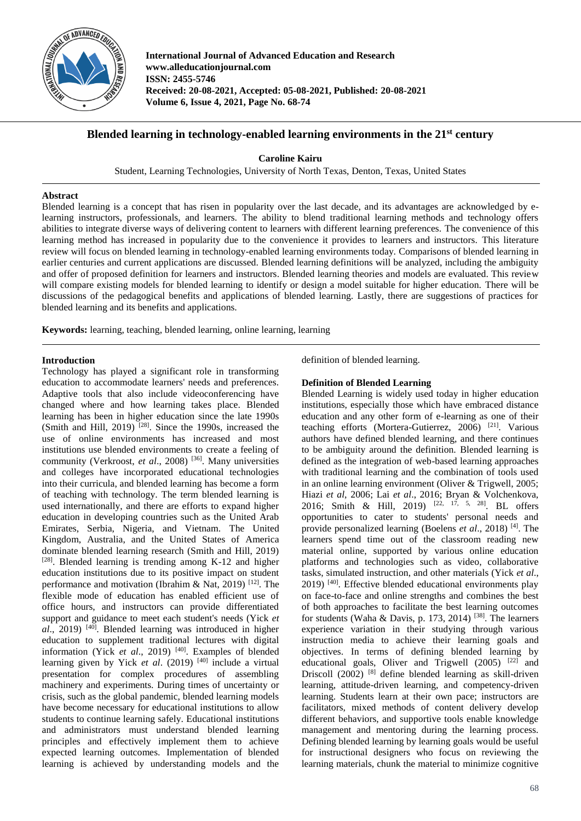

**International Journal of Advanced Education and Research www.alleducationjournal.com ISSN: 2455-5746 Received: 20-08-2021, Accepted: 05-08-2021, Published: 20-08-2021 Volume 6, Issue 4, 2021, Page No. 68-74**

# **Blended learning in technology-enabled learning environments in the 21st century**

**Caroline Kairu**

Student, Learning Technologies, University of North Texas, Denton, Texas, United States

### **Abstract**

Blended learning is a concept that has risen in popularity over the last decade, and its advantages are acknowledged by elearning instructors, professionals, and learners. The ability to blend traditional learning methods and technology offers abilities to integrate diverse ways of delivering content to learners with different learning preferences. The convenience of this learning method has increased in popularity due to the convenience it provides to learners and instructors. This literature review will focus on blended learning in technology-enabled learning environments today. Comparisons of blended learning in earlier centuries and current applications are discussed. Blended learning definitions will be analyzed, including the ambiguity and offer of proposed definition for learners and instructors. Blended learning theories and models are evaluated. This review will compare existing models for blended learning to identify or design a model suitable for higher education. There will be discussions of the pedagogical benefits and applications of blended learning. Lastly, there are suggestions of practices for blended learning and its benefits and applications.

**Keywords:** learning, teaching, blended learning, online learning, learning

### **Introduction**

Technology has played a significant role in transforming education to accommodate learners' needs and preferences. Adaptive tools that also include videoconferencing have changed where and how learning takes place. Blended learning has been in higher education since the late 1990s (Smith and Hill, 2019)<sup>[28]</sup>. Since the 1990s, increased the use of online environments has increased and most institutions use blended environments to create a feeling of community (Verkroost, *et al*., 2008) [36] . Many universities and colleges have incorporated educational technologies into their curricula, and blended learning has become a form of teaching with technology. The term blended learning is used internationally, and there are efforts to expand higher education in developing countries such as the United Arab Emirates, Serbia, Nigeria, and Vietnam. The United Kingdom, Australia, and the United States of America dominate blended learning research (Smith and Hill, 2019) [28]. Blended learning is trending among K-12 and higher education institutions due to its positive impact on student performance and motivation (Ibrahim & Nat, 2019)<sup>[12]</sup>. The flexible mode of education has enabled efficient use of office hours, and instructors can provide differentiated support and guidance to meet each student's needs (Yick *et*  al., 2019)<sup>[40]</sup>. Blended learning was introduced in higher education to supplement traditional lectures with digital information (Yick *et al.*, 2019)<sup>[40]</sup>. Examples of blended learning given by Yick *et al.* (2019)<sup>[40]</sup> include a virtual presentation for complex procedures of assembling machinery and experiments. During times of uncertainty or crisis, such as the global pandemic, blended learning models have become necessary for educational institutions to allow students to continue learning safely. Educational institutions and administrators must understand blended learning principles and effectively implement them to achieve expected learning outcomes. Implementation of blended learning is achieved by understanding models and the

definition of blended learning.

### **Definition of Blended Learning**

Blended Learning is widely used today in higher education institutions, especially those which have embraced distance education and any other form of e-learning as one of their teaching efforts (Mortera-Gutierrez, 2006)<sup>[21]</sup>. Various authors have defined blended learning, and there continues to be ambiguity around the definition. Blended learning is defined as the integration of web-based learning approaches with traditional learning and the combination of tools used in an online learning environment (Oliver & Trigwell, 2005; Hiazi *et al*, 2006; Lai *et al*., 2016; Bryan & Volchenkova, 2016; Smith & Hill, 2019) <sup>[22, 17, 5, 28]</sup>. BL offers opportunities to cater to students' personal needs and provide personalized learning (Boelens *et al*., 2018) [4] . The learners spend time out of the classroom reading new material online, supported by various online education platforms and technologies such as video, collaborative tasks, simulated instruction, and other materials (Yick *et al*., 2019)<sup>[40]</sup>. Effective blended educational environments play on face-to-face and online strengths and combines the best of both approaches to facilitate the best learning outcomes for students (Waha & Davis, p. 173, 2014)<sup>[38]</sup>. The learners experience variation in their studying through various instruction media to achieve their learning goals and objectives. In terms of defining blended learning by educational goals, Oliver and Trigwell (2005)<sup>[22]</sup> and Driscoll (2002) [8] define blended learning as skill-driven learning, attitude-driven learning, and competency-driven learning. Students learn at their own pace; instructors are facilitators, mixed methods of content delivery develop different behaviors, and supportive tools enable knowledge management and mentoring during the learning process. Defining blended learning by learning goals would be useful for instructional designers who focus on reviewing the learning materials, chunk the material to minimize cognitive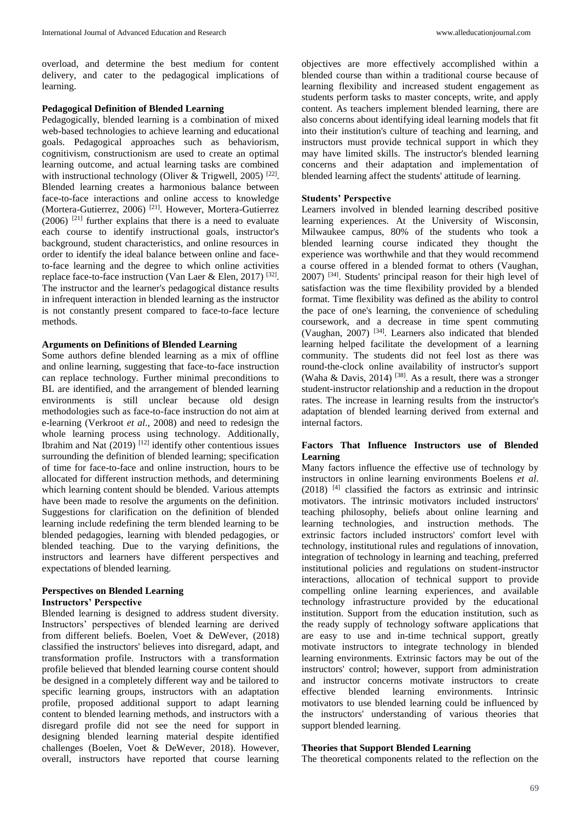overload, and determine the best medium for content delivery, and cater to the pedagogical implications of learning.

#### **Pedagogical Definition of Blended Learning**

Pedagogically, blended learning is a combination of mixed web-based technologies to achieve learning and educational goals. Pedagogical approaches such as behaviorism, cognitivism, constructionism are used to create an optimal learning outcome, and actual learning tasks are combined with instructional technology (Oliver & Trigwell, 2005)<sup>[22]</sup>. Blended learning creates a harmonious balance between face-to-face interactions and online access to knowledge (Mortera-Gutierrez, 2006)<sup>[21]</sup>. However, Mortera-Gutierrez  $(2006)$  <sup>[21]</sup> further explains that there is a need to evaluate each course to identify instructional goals, instructor's background, student characteristics, and online resources in order to identify the ideal balance between online and faceto-face learning and the degree to which online activities replace face-to-face instruction (Van Laer & Elen, 2017)<sup>[32]</sup>. The instructor and the learner's pedagogical distance results in infrequent interaction in blended learning as the instructor is not constantly present compared to face-to-face lecture methods.

#### **Arguments on Definitions of Blended Learning**

Some authors define blended learning as a mix of offline and online learning, suggesting that face-to-face instruction can replace technology. Further minimal preconditions to BL are identified, and the arrangement of blended learning environments is still unclear because old design methodologies such as face-to-face instruction do not aim at e-learning (Verkroot *et al*., 2008) and need to redesign the whole learning process using technology. Additionally, Ibrahim and Nat  $(2019)$ <sup>[12]</sup> identify other contentious issues surrounding the definition of blended learning; specification of time for face-to-face and online instruction, hours to be allocated for different instruction methods, and determining which learning content should be blended. Various attempts have been made to resolve the arguments on the definition. Suggestions for clarification on the definition of blended learning include redefining the term blended learning to be blended pedagogies, learning with blended pedagogies, or blended teaching. Due to the varying definitions, the instructors and learners have different perspectives and expectations of blended learning.

### **Perspectives on Blended Learning Instructors' Perspective**

Blended learning is designed to address student diversity. Instructors' perspectives of blended learning are derived from different beliefs. Boelen, Voet & DeWever, (2018) classified the instructors' believes into disregard, adapt, and transformation profile. Instructors with a transformation profile believed that blended learning course content should be designed in a completely different way and be tailored to specific learning groups, instructors with an adaptation profile, proposed additional support to adapt learning content to blended learning methods, and instructors with a disregard profile did not see the need for support in designing blended learning material despite identified challenges (Boelen, Voet & DeWever, 2018). However, overall, instructors have reported that course learning

objectives are more effectively accomplished within a blended course than within a traditional course because of learning flexibility and increased student engagement as students perform tasks to master concepts, write, and apply content. As teachers implement blended learning, there are also concerns about identifying ideal learning models that fit into their institution's culture of teaching and learning, and instructors must provide technical support in which they may have limited skills. The instructor's blended learning concerns and their adaptation and implementation of blended learning affect the students' attitude of learning.

### **Students' Perspective**

Learners involved in blended learning described positive learning experiences. At the University of Wisconsin, Milwaukee campus, 80% of the students who took a blended learning course indicated they thought the experience was worthwhile and that they would recommend a course offered in a blended format to others (Vaughan, 2007) [34] . Students' principal reason for their high level of satisfaction was the time flexibility provided by a blended format. Time flexibility was defined as the ability to control the pace of one's learning, the convenience of scheduling coursework, and a decrease in time spent commuting (Vaughan, 2007) [34] . Learners also indicated that blended learning helped facilitate the development of a learning community. The students did not feel lost as there was round-the-clock online availability of instructor's support (Waha & Davis, 2014)<sup>[38]</sup>. As a result, there was a stronger student-instructor relationship and a reduction in the dropout rates. The increase in learning results from the instructor's adaptation of blended learning derived from external and internal factors.

## **Factors That Influence Instructors use of Blended Learning**

Many factors influence the effective use of technology by instructors in online learning environments Boelens *et al*. (2018) [4] classified the factors as extrinsic and intrinsic motivators. The intrinsic motivators included instructors' teaching philosophy, beliefs about online learning and learning technologies, and instruction methods. The extrinsic factors included instructors' comfort level with technology, institutional rules and regulations of innovation, integration of technology in learning and teaching, preferred institutional policies and regulations on student-instructor interactions, allocation of technical support to provide compelling online learning experiences, and available technology infrastructure provided by the educational institution. Support from the education institution, such as the ready supply of technology software applications that are easy to use and in-time technical support, greatly motivate instructors to integrate technology in blended learning environments. Extrinsic factors may be out of the instructors' control; however, support from administration and instructor concerns motivate instructors to create effective blended learning environments. Intrinsic motivators to use blended learning could be influenced by the instructors' understanding of various theories that support blended learning.

### **Theories that Support Blended Learning**

The theoretical components related to the reflection on the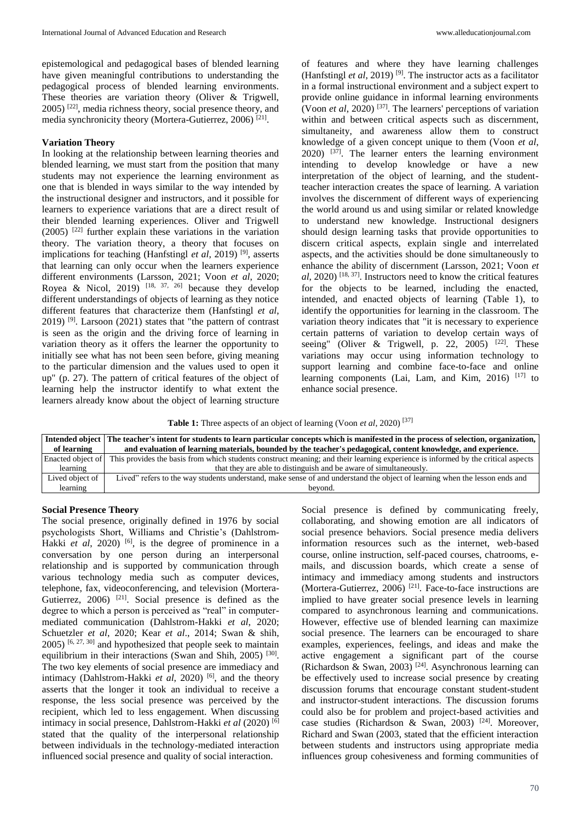epistemological and pedagogical bases of blended learning have given meaningful contributions to understanding the pedagogical process of blended learning environments. These theories are variation theory (Oliver & Trigwell,  $2005$ )  $[22]$ , media richness theory, social presence theory, and media synchronicity theory (Mortera-Gutierrez, 2006)<sup>[21]</sup>.

#### **Variation Theory**

In looking at the relationship between learning theories and blended learning, we must start from the position that many students may not experience the learning environment as one that is blended in ways similar to the way intended by the instructional designer and instructors, and it possible for learners to experience variations that are a direct result of their blended learning experiences. Oliver and Trigwell  $(2005)$  <sup>[22]</sup> further explain these variations in the variation theory. The variation theory, a theory that focuses on implications for teaching (Hanfstingl *et al*, 2019)<sup>[9]</sup>, asserts that learning can only occur when the learners experience different environments (Larsson, 2021; Voon *et al*, 2020; Royea & Nicol, 2019)  $[18, 37, 26]$  because they develop different understandings of objects of learning as they notice different features that characterize them (Hanfstingl *et al*,  $2019$ ) <sup>[9]</sup>. Larsoon (2021) states that "the pattern of contrast is seen as the origin and the driving force of learning in variation theory as it offers the learner the opportunity to initially see what has not been seen before, giving meaning to the particular dimension and the values used to open it up" (p. 27). The pattern of critical features of the object of learning help the instructor identify to what extent the learners already know about the object of learning structure of features and where they have learning challenges (Hanfstingl *et al*, 2019)<sup>[9]</sup>. The instructor acts as a facilitator in a formal instructional environment and a subject expert to provide online guidance in informal learning environments (Voon *et al*, 2020) [37] . The learners' perceptions of variation within and between critical aspects such as discernment, simultaneity, and awareness allow them to construct knowledge of a given concept unique to them (Voon *et al*,  $2020$ )  $^{[37]}$ . The learner enters the learning environment intending to develop knowledge or have a new interpretation of the object of learning, and the studentteacher interaction creates the space of learning. A variation involves the discernment of different ways of experiencing the world around us and using similar or related knowledge to understand new knowledge. Instructional designers should design learning tasks that provide opportunities to discern critical aspects, explain single and interrelated aspects, and the activities should be done simultaneously to enhance the ability of discernment (Larsson, 2021; Voon *et al*, 2020) [18, 37] . Instructors need to know the critical features for the objects to be learned, including the enacted, intended, and enacted objects of learning (Table 1), to identify the opportunities for learning in the classroom. The variation theory indicates that "it is necessary to experience certain patterns of variation to develop certain ways of seeing" (Oliver & Trigwell, p. 22, 2005)  $[22]$ . These variations may occur using information technology to support learning and combine face-to-face and online learning components (Lai, Lam, and Kim, 2016)<sup>[17]</sup> to enhance social presence.

**Table 1:** Three aspects of an object of learning (Voon *et al*, 2020)<sup>[37]</sup>

| of learning       | Intended object   The teacher's intent for students to learn particular concepts which is manifested in the process of selection, organization,<br>and evaluation of learning materials, bounded by the teacher's pedagogical, content knowledge, and experience. |  |  |
|-------------------|-------------------------------------------------------------------------------------------------------------------------------------------------------------------------------------------------------------------------------------------------------------------|--|--|
| Enacted object of | This provides the basis from which students construct meaning; and their learning experience is informed by the critical aspects                                                                                                                                  |  |  |
| learning          | that they are able to distinguish and be aware of simultaneously.                                                                                                                                                                                                 |  |  |
| Lived object of   | Lived" refers to the way students understand, make sense of and understand the object of learning when the lesson ends and                                                                                                                                        |  |  |
| learning          | bevond.                                                                                                                                                                                                                                                           |  |  |

### **Social Presence Theory**

The social presence, originally defined in 1976 by social psychologists Short, Williams and Christie's (Dahlstrom-Hakki *et al*, 2020) <sup>[6]</sup>, is the degree of prominence in a conversation by one person during an interpersonal relationship and is supported by communication through various technology media such as computer devices, telephone, fax, videoconferencing, and television (Mortera-Gutierrez,  $2006$ <sup>[21]</sup>. Social presence is defined as the degree to which a person is perceived as "real" in computermediated communication (Dahlstrom-Hakki *et al*, 2020; Schuetzler *et al*, 2020; Kear *et al*., 2014; Swan & shih,  $2005$ ) <sup>[6, 27, 30]</sup> and hypothesized that people seek to maintain equilibrium in their interactions (Swan and Shih, 2005)<sup>[30]</sup>. The two key elements of social presence are immediacy and intimacy (Dahlstrom-Hakki *et al*, 2020) [6] , and the theory asserts that the longer it took an individual to receive a response, the less social presence was perceived by the recipient, which led to less engagement. When discussing intimacy in social presence, Dahlstrom-Hakki *et al* (2020) [6] stated that the quality of the interpersonal relationship between individuals in the technology-mediated interaction influenced social presence and quality of social interaction.

Social presence is defined by communicating freely, collaborating, and showing emotion are all indicators of social presence behaviors. Social presence media delivers information resources such as the internet, web-based course, online instruction, self-paced courses, chatrooms, emails, and discussion boards, which create a sense of intimacy and immediacy among students and instructors (Mortera-Gutierrez, 2006)<sup>[21]</sup>. Face-to-face instructions are implied to have greater social presence levels in learning compared to asynchronous learning and communications. However, effective use of blended learning can maximize social presence. The learners can be encouraged to share examples, experiences, feelings, and ideas and make the active engagement a significant part of the course (Richardson & Swan, 2003) [24] . Asynchronous learning can be effectively used to increase social presence by creating discussion forums that encourage constant student-student and instructor-student interactions. The discussion forums could also be for problem and project-based activities and case studies (Richardson & Swan, 2003)<sup>[24]</sup>. Moreover, Richard and Swan (2003, stated that the efficient interaction between students and instructors using appropriate media influences group cohesiveness and forming communities of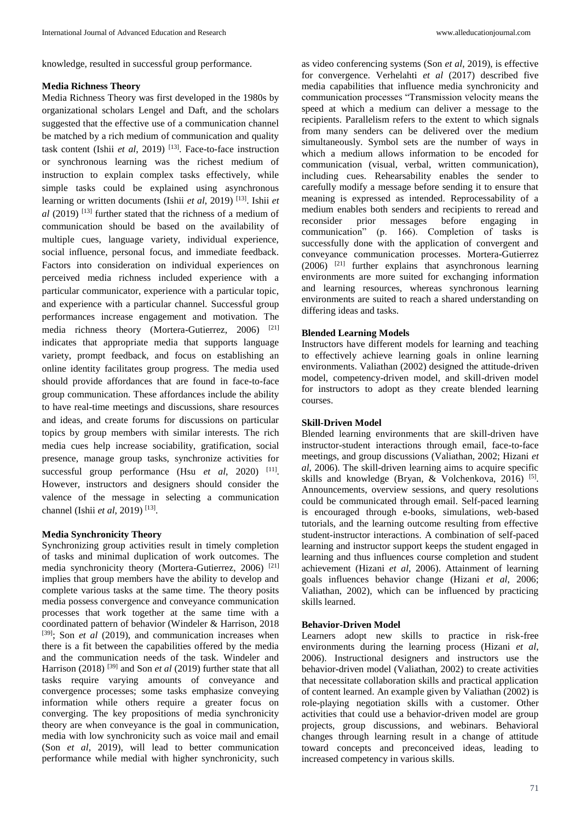knowledge, resulted in successful group performance.

#### **Media Richness Theory**

Media Richness Theory was first developed in the 1980s by organizational scholars Lengel and Daft, and the scholars suggested that the effective use of a communication channel be matched by a rich medium of communication and quality task content (Ishii *et al*, 2019) [13] . Face-to-face instruction or synchronous learning was the richest medium of instruction to explain complex tasks effectively, while simple tasks could be explained using asynchronous learning or written documents (Ishii *et al*, 2019) [13] . Ishii *et al* (2019) [13] further stated that the richness of a medium of communication should be based on the availability of multiple cues, language variety, individual experience, social influence, personal focus, and immediate feedback. Factors into consideration on individual experiences on perceived media richness included experience with a particular communicator, experience with a particular topic, and experience with a particular channel. Successful group performances increase engagement and motivation. The media richness theory (Mortera-Gutierrez, 2006) [21] indicates that appropriate media that supports language variety, prompt feedback, and focus on establishing an online identity facilitates group progress. The media used should provide affordances that are found in face-to-face group communication. These affordances include the ability to have real-time meetings and discussions, share resources and ideas, and create forums for discussions on particular topics by group members with similar interests. The rich media cues help increase sociability, gratification, social presence, manage group tasks, synchronize activities for successful group performance (Hsu *et al*, 2020) <sup>[11]</sup>. However, instructors and designers should consider the valence of the message in selecting a communication channel (Ishii *et al*, 2019) [13] .

## **Media Synchronicity Theory**

Synchronizing group activities result in timely completion of tasks and minimal duplication of work outcomes. The media synchronicity theory (Mortera-Gutierrez, 2006) [21] implies that group members have the ability to develop and complete various tasks at the same time. The theory posits media possess convergence and conveyance communication processes that work together at the same time with a coordinated pattern of behavior (Windeler & Harrison, 2018 [39]; Son *et al* (2019), and communication increases when there is a fit between the capabilities offered by the media and the communication needs of the task. Windeler and Harrison (2018)<sup>[39]</sup> and Son *et al* (2019) further state that all tasks require varying amounts of conveyance and convergence processes; some tasks emphasize conveying information while others require a greater focus on converging. The key propositions of media synchronicity theory are when conveyance is the goal in communication, media with low synchronicity such as voice mail and email (Son *et al*, 2019), will lead to better communication performance while medial with higher synchronicity, such

as video conferencing systems (Son *et al*, 2019), is effective for convergence. Verhelahti *et al* (2017) described five media capabilities that influence media synchronicity and communication processes "Transmission velocity means the speed at which a medium can deliver a message to the recipients. Parallelism refers to the extent to which signals from many senders can be delivered over the medium simultaneously. Symbol sets are the number of ways in which a medium allows information to be encoded for communication (visual, verbal, written communication), including cues. Rehearsability enables the sender to carefully modify a message before sending it to ensure that meaning is expressed as intended. Reprocessability of a medium enables both senders and recipients to reread and<br>reconsider prior messages before engaging in reconsider prior messages before engaging in communication" (p. 166). Completion of tasks is successfully done with the application of convergent and conveyance communication processes. Mortera-Gutierrez  $(2006)$  <sup>[21]</sup> further explains that asynchronous learning environments are more suited for exchanging information and learning resources, whereas synchronous learning environments are suited to reach a shared understanding on differing ideas and tasks.

### **Blended Learning Models**

Instructors have different models for learning and teaching to effectively achieve learning goals in online learning environments. Valiathan (2002) designed the attitude-driven model, competency-driven model, and skill-driven model for instructors to adopt as they create blended learning courses.

#### **Skill-Driven Model**

Blended learning environments that are skill-driven have instructor-student interactions through email, face-to-face meetings, and group discussions (Valiathan, 2002; Hizani *et al*, 2006). The skill-driven learning aims to acquire specific skills and knowledge (Bryan, & Volchenkova, 2016)<sup>[5]</sup>. Announcements, overview sessions, and query resolutions could be communicated through email. Self-paced learning is encouraged through e-books, simulations, web-based tutorials, and the learning outcome resulting from effective student-instructor interactions. A combination of self-paced learning and instructor support keeps the student engaged in learning and thus influences course completion and student achievement (Hizani *et al*, 2006). Attainment of learning goals influences behavior change (Hizani *et al*, 2006; Valiathan, 2002), which can be influenced by practicing skills learned.

## **Behavior-Driven Model**

Learners adopt new skills to practice in risk-free environments during the learning process (Hizani *et al*, 2006). Instructional designers and instructors use the behavior-driven model (Valiathan, 2002) to create activities that necessitate collaboration skills and practical application of content learned. An example given by Valiathan (2002) is role-playing negotiation skills with a customer. Other activities that could use a behavior-driven model are group projects, group discussions, and webinars. Behavioral changes through learning result in a change of attitude toward concepts and preconceived ideas, leading to increased competency in various skills.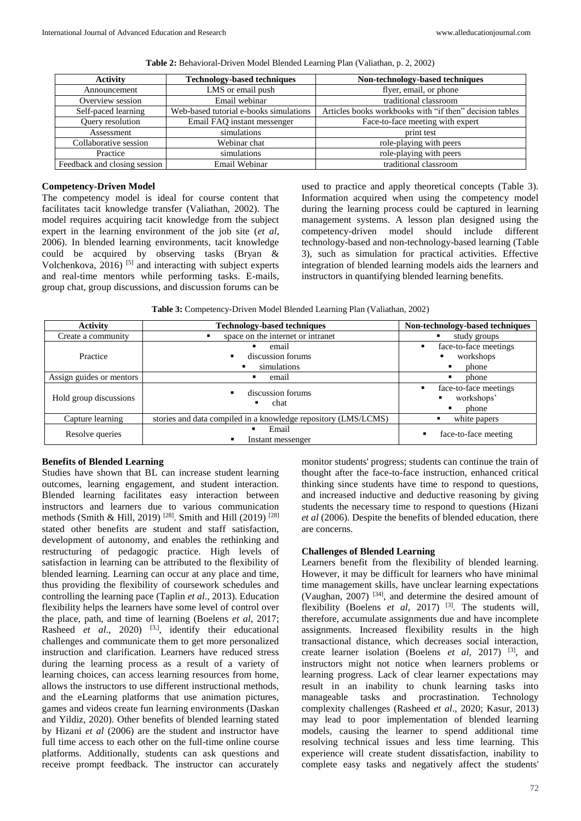| <b>Activity</b>              | <b>Technology-based techniques</b>     | Non-technology-based techniques                         |
|------------------------------|----------------------------------------|---------------------------------------------------------|
| Announcement                 | LMS or email push                      | flyer, email, or phone                                  |
| Overview session             | Email webinar                          | traditional classroom                                   |
| Self-paced learning          | Web-based tutorial e-books simulations | Articles books workbooks with "if then" decision tables |
| Query resolution             | Email FAQ instant messenger            | Face-to-face meeting with expert                        |
| Assessment                   | simulations                            | print test                                              |
| Collaborative session        | Webinar chat                           | role-playing with peers                                 |
| Practice                     | simulations                            | role-playing with peers                                 |
| Feedback and closing session | Email Webinar                          | traditional classroom                                   |

**Table 2:** Behavioral-Driven Model Blended Learning Plan (Valiathan, p. 2, 2002)

### **Competency-Driven Model**

The competency model is ideal for course content that facilitates tacit knowledge transfer (Valiathan, 2002). The model requires acquiring tacit knowledge from the subject expert in the learning environment of the job site (*et al*, 2006). In blended learning environments, tacit knowledge could be acquired by observing tasks (Bryan & Volchenkova,  $2016$ <sup>[5]</sup> and interacting with subject experts and real-time mentors while performing tasks. E-mails, group chat, group discussions, and discussion forums can be

used to practice and apply theoretical concepts (Table 3). Information acquired when using the competency model during the learning process could be captured in learning management systems. A lesson plan designed using the competency-driven model should include different technology-based and non-technology-based learning (Table 3), such as simulation for practical activities. Effective integration of blended learning models aids the learners and instructors in quantifying blended learning benefits.

**Table 3:** Competency-Driven Model Blended Learning Plan (Valiathan, 2002)

| <b>Activity</b>          | <b>Technology-based techniques</b>                             | Non-technology-based techniques                        |
|--------------------------|----------------------------------------------------------------|--------------------------------------------------------|
| Create a community       | space on the internet or intranet                              | study groups                                           |
| Practice                 | email<br>٠<br>discussion forums<br>simulations<br>٠            | face-to-face meetings<br>٠<br>workshops<br>phone       |
| Assign guides or mentors | email                                                          | phone<br>п                                             |
| Hold group discussions   | discussion forums<br>chat<br>٠                                 | face-to-face meetings<br>٠<br>workshops'<br>phone<br>п |
| Capture learning         | stories and data compiled in a knowledge repository (LMS/LCMS) | white papers                                           |
| Resolve queries          | Email<br>Instant messenger                                     | face-to-face meeting                                   |

## **Benefits of Blended Learning**

Studies have shown that BL can increase student learning outcomes, learning engagement, and student interaction. Blended learning facilitates easy interaction between instructors and learners due to various communication methods (Smith & Hill, 2019)<sup>[28]</sup>. Smith and Hill (2019)<sup>[28]</sup> stated other benefits are student and staff satisfaction, development of autonomy, and enables the rethinking and restructuring of pedagogic practice. High levels of satisfaction in learning can be attributed to the flexibility of blended learning. Learning can occur at any place and time, thus providing the flexibility of coursework schedules and controlling the learning pace (Taplin *et al*., 2013). Education flexibility helps the learners have some level of control over the place, path, and time of learning (Boelens *et al*, 2017; Rasheed *et al.*, 2020) <sup>[3,]</sup>, identify their educational challenges and communicate them to get more personalized instruction and clarification. Learners have reduced stress during the learning process as a result of a variety of learning choices, can access learning resources from home, allows the instructors to use different instructional methods, and the eLearning platforms that use animation pictures, games and videos create fun learning environments (Daskan and Yildiz, 2020). Other benefits of blended learning stated by Hizani *et al* (2006) are the student and instructor have full time access to each other on the full-time online course platforms. Additionally, students can ask questions and receive prompt feedback. The instructor can accurately monitor students' progress; students can continue the train of thought after the face-to-face instruction, enhanced critical thinking since students have time to respond to questions, and increased inductive and deductive reasoning by giving students the necessary time to respond to questions (Hizani *et al* (2006). Despite the benefits of blended education, there are concerns.

#### **Challenges of Blended Learning**

Learners benefit from the flexibility of blended learning. However, it may be difficult for learners who have minimal time management skills, have unclear learning expectations (Vaughan, 2007) [34] , and determine the desired amount of flexibility (Boelens *et al*, 2017)<sup>[3]</sup>. The students will, therefore, accumulate assignments due and have incomplete assignments. Increased flexibility results in the high transactional distance, which decreases social interaction, create learner isolation (Boelens *et al*, 2017) [3] , and instructors might not notice when learners problems or learning progress. Lack of clear learner expectations may result in an inability to chunk learning tasks into manageable tasks and procrastination. Technology complexity challenges (Rasheed *et al*., 2020; Kasur, 2013) may lead to poor implementation of blended learning models, causing the learner to spend additional time resolving technical issues and less time learning. This experience will create student dissatisfaction, inability to complete easy tasks and negatively affect the students'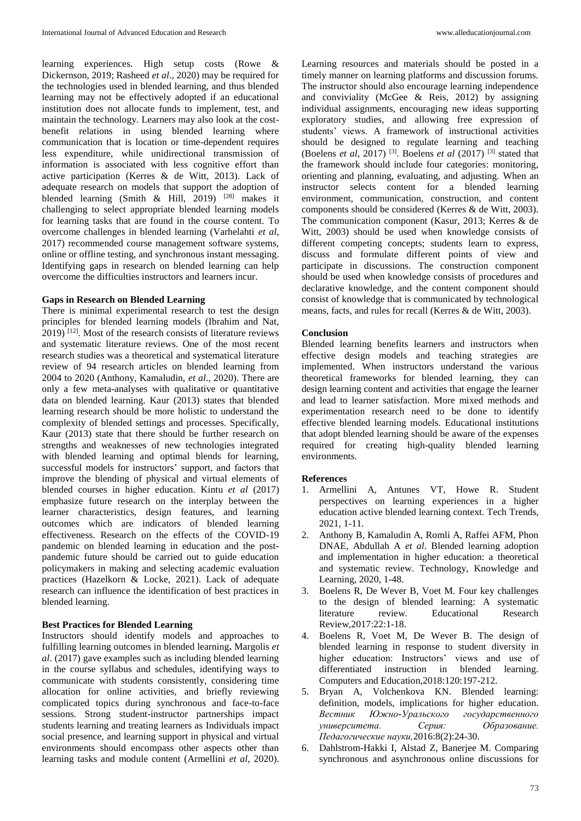learning experiences. High setup costs (Rowe & Dickernson, 2019; Rasheed *et al*., 2020) may be required for the technologies used in blended learning, and thus blended learning may not be effectively adopted if an educational institution does not allocate funds to implement, test, and maintain the technology. Learners may also look at the costbenefit relations in using blended learning where communication that is location or time-dependent requires less expenditure, while unidirectional transmission of information is associated with less cognitive effort than active participation (Kerres & de Witt, 2013). Lack of adequate research on models that support the adoption of blended learning (Smith & Hill, 2019)  $^{[28]}$  makes it challenging to select appropriate blended learning models for learning tasks that are found in the course content. To overcome challenges in blended learning (Varhelahti *et al*, 2017) recommended course management software systems, online or offline testing, and synchronous instant messaging. Identifying gaps in research on blended learning can help overcome the difficulties instructors and learners incur.

## **Gaps in Research on Blended Learning**

There is minimal experimental research to test the design principles for blended learning models (Ibrahim and Nat,  $2019$ <sup>[12]</sup>. Most of the research consists of literature reviews and systematic literature reviews. One of the most recent research studies was a theoretical and systematical literature review of 94 research articles on blended learning from 2004 to 2020 (Anthony, Kamaludin, *et al*., 2020). There are only a few meta-analyses with qualitative or quantitative data on blended learning. Kaur (2013) states that blended learning research should be more holistic to understand the complexity of blended settings and processes. Specifically, Kaur (2013) state that there should be further research on strengths and weaknesses of new technologies integrated with blended learning and optimal blends for learning, successful models for instructors' support, and factors that improve the blending of physical and virtual elements of blended courses in higher education. Kintu *et al* (2017) emphasize future research on the interplay between the learner characteristics, design features, and learning outcomes which are indicators of blended learning effectiveness. Research on the effects of the COVID-19 pandemic on blended learning in education and the postpandemic future should be carried out to guide education policymakers in making and selecting academic evaluation practices (Hazelkorn & Locke, 2021). Lack of adequate research can influence the identification of best practices in blended learning.

## **Best Practices for Blended Learning**

Instructors should identify models and approaches to fulfilling learning outcomes in blended learning**.** Margolis *et al*. (2017) gave examples such as including blended learning in the course syllabus and schedules, identifying ways to communicate with students consistently, considering time allocation for online activities, and briefly reviewing complicated topics during synchronous and face-to-face sessions. Strong student-instructor partnerships impact students learning and treating learners as Individuals impact social presence, and learning support in physical and virtual environments should encompass other aspects other than learning tasks and module content (Armellini *et al*, 2020). Learning resources and materials should be posted in a timely manner on learning platforms and discussion forums. The instructor should also encourage learning independence and conviviality (McGee & Reis, 2012) by assigning individual assignments, encouraging new ideas supporting exploratory studies, and allowing free expression of students' views. A framework of instructional activities should be designed to regulate learning and teaching (Boelens *et al*, 2017)<sup>[3]</sup>. Boelens *et al* (2017)<sup>[3]</sup> stated that the framework should include four categories: monitoring, orienting and planning, evaluating, and adjusting. When an instructor selects content for a blended learning environment, communication, construction, and content components should be considered (Kerres & de Witt, 2003). The communication component (Kasur, 2013; Kerres & de Witt, 2003) should be used when knowledge consists of different competing concepts; students learn to express, discuss and formulate different points of view and participate in discussions. The construction component should be used when knowledge consists of procedures and declarative knowledge, and the content component should consist of knowledge that is communicated by technological means, facts, and rules for recall (Kerres & de Witt, 2003).

## **Conclusion**

Blended learning benefits learners and instructors when effective design models and teaching strategies are implemented. When instructors understand the various theoretical frameworks for blended learning, they can design learning content and activities that engage the learner and lead to learner satisfaction. More mixed methods and experimentation research need to be done to identify effective blended learning models. Educational institutions that adopt blended learning should be aware of the expenses required for creating high-quality blended learning environments.

## **References**

- 1. Armellini A, Antunes VT, Howe R. Student perspectives on learning experiences in a higher education active blended learning context. Tech Trends, 2021, 1-11.
- 2. Anthony B, Kamaludin A, Romli A, Raffei AFM, Phon DNAE, Abdullah A *et al*. Blended learning adoption and implementation in higher education: a theoretical and systematic review. Technology, Knowledge and Learning, 2020, 1-48.
- 3. Boelens R, De Wever B, Voet M. Four key challenges to the design of blended learning: A systematic literature review. Educational Research Review*,*2017:22:1-18.
- 4. Boelens R, Voet M, De Wever B. The design of blended learning in response to student diversity in higher education: Instructors' views and use of differentiated instruction in blended learning. Computers and Education,2018:120:197-212.
- 5. Bryan A, Volchenkova KN. Blended learning: definition, models, implications for higher education. *Вестник Южно-Уральского государственного университета. Серия: Образование. Педагогические науки,*2016:8(2):24-30.
- 6. Dahlstrom-Hakki I, Alstad Z, Banerjee M. Comparing synchronous and asynchronous online discussions for